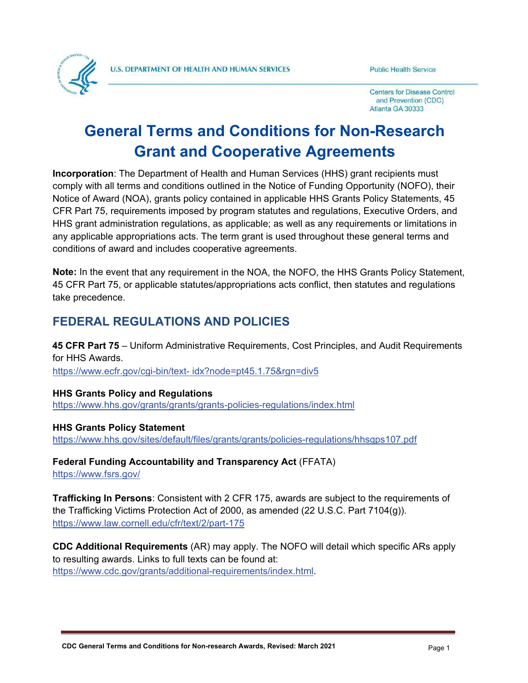

**Centers for Disease Control** and Prevention (CDC) Atlanta GA 30333

# **General Terms and Conditions for Non-Research Grant and Cooperative Agreements**

**Incorporation**: The Department of Health and Human Services (HHS) grant recipients must comply with all terms and conditions outlined in the Notice of Funding Opportunity (NOFO), their Notice of Award (NOA), grants policy contained in applicable HHS Grants Policy Statements, 45 CFR Part 75, requirements imposed by program statutes and regulations, Executive Orders, and HHS grant administration regulations, as applicable; as well as any requirements or limitations in any applicable appropriations acts. The term grant is used throughout these general terms and conditions of award and includes cooperative agreements.

**Note:** In the event that any requirement in the NOA, the NOFO, the HHS Grants Policy Statement, 45 CFR Part 75, or applicable statutes/appropriations acts conflict, then statutes and regulations take precedence.

# **FEDERAL REGULATIONS AND POLICIES**

**45 CFR Part 75** – Uniform Administrative Requirements, Cost Principles, and Audit Requirements for HHS Awards. <https://www.ecfr.gov/cgi-bin/tex>[t- idx?node=pt45.1.75&rgn=div5](https://www.ecfr.gov/cgi-bin/text-idx?node=pt45.1.75&amp%3Bamp%3Bamp%3Bamp%3Brgn=div5)

**HHS Grants Policy and Regulations** <https://www.hhs.gov/grants/grants/grants-policies-regulations/index.html>

**HHS Grants Policy Statement** <https://www.hhs.gov/sites/default/files/grants/grants/policies-regulations/hhsgps107.pdf>

**Federal Funding Accountability and Transparency Act** (FFATA) <https://www.fsrs.gov/>

**Trafficking In Persons**: Consistent with 2 CFR 175, awards are subject to the requirements of the Trafficking Victims Protection Act of 2000, as amended (22 U.S.C. Part 7104(g)). <https://www.law.cornell.edu/cfr/text/2/part-175>

**CDC Additional Requirements** (AR) may apply. The NOFO will detail which specific ARs apply to resulting awards. Links to full texts can be found at: [https://www.cdc.gov/grants/additional-requirements/index.html.](https://www.cdc.gov/grants/additional-requirements/index.html)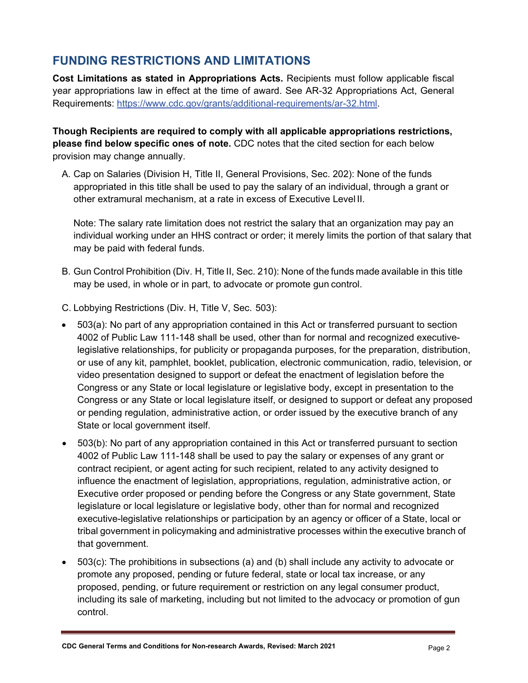## **FUNDING RESTRICTIONS AND LIMITATIONS**

**Cost Limitations as stated in Appropriations Acts.** Recipients must follow applicable fiscal year appropriations law in effect at the time of award. See AR-32 Appropriations Act, General Requirements: [https://www.cdc.gov/grants/additional-requirements/ar-32.html.](https://www.cdc.gov/grants/additional-requirements/ar-32.html)

**Though Recipients are required to comply with all applicable appropriations restrictions, please find below specific ones of note.** CDC notes that the cited section for each below provision may change annually.

A. Cap on Salaries (Division H, Title II, General Provisions, Sec. 202): None of the funds appropriated in this title shall be used to pay the salary of an individual, through a grant or other extramural mechanism, at a rate in excess of Executive Level II.

Note: The salary rate limitation does not restrict the salary that an organization may pay an individual working under an HHS contract or order; it merely limits the portion of that salary that may be paid with federal funds.

B. Gun Control Prohibition (Div. H, Title II, Sec. 210): None of the funds made available in this title may be used, in whole or in part, to advocate or promote gun control.

C. Lobbying Restrictions (Div. H, Title V, Sec. 503):

- 503(a): No part of any appropriation contained in this Act or transferred pursuant to section 4002 of Public Law 111-148 shall be used, other than for normal and recognized executivelegislative relationships, for publicity or propaganda purposes, for the preparation, distribution, or use of any kit, pamphlet, booklet, publication, electronic communication, radio, television, or video presentation designed to support or defeat the enactment of legislation before the Congress or any State or local legislature or legislative body, except in presentation to the Congress or any State or local legislature itself, or designed to support or defeat any proposed or pending regulation, administrative action, or order issued by the executive branch of any State or local government itself.
- 503(b): No part of any appropriation contained in this Act or transferred pursuant to section 4002 of Public Law 111-148 shall be used to pay the salary or expenses of any grant or contract recipient, or agent acting for such recipient, related to any activity designed to influence the enactment of legislation, appropriations, regulation, administrative action, or Executive order proposed or pending before the Congress or any State government, State legislature or local legislature or legislative body, other than for normal and recognized executive-legislative relationships or participation by an agency or officer of a State, local or tribal government in policymaking and administrative processes within the executive branch of that government.
- 503(c): The prohibitions in subsections (a) and (b) shall include any activity to advocate or promote any proposed, pending or future federal, state or local tax increase, or any proposed, pending, or future requirement or restriction on any legal consumer product, including its sale of marketing, including but not limited to the advocacy or promotion of gun control.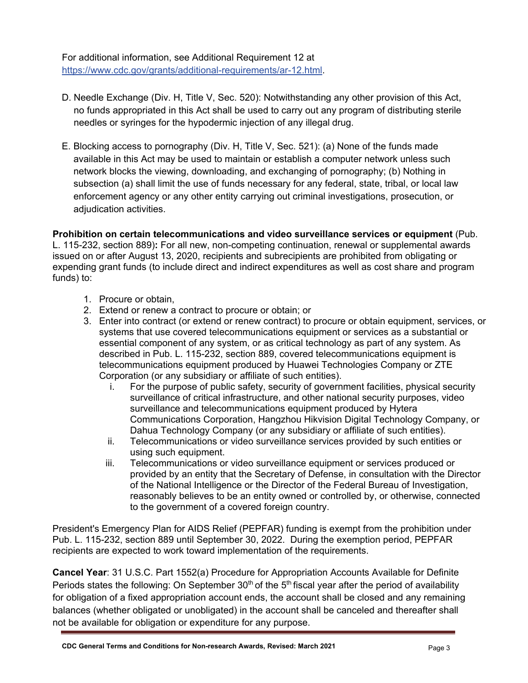For additional information, see Additional Requirement 12 at [https://www.cdc.gov/grants/additional-requirements/ar-12.html.](https://www.cdc.gov/grants/additional-requirements/ar-12.html)

- D. Needle Exchange (Div. H, Title V, Sec. 520): Notwithstanding any other provision of this Act, no funds appropriated in this Act shall be used to carry out any program of distributing sterile needles or syringes for the hypodermic injection of any illegal drug.
- E. Blocking access to pornography (Div. H, Title V, Sec. 521): (a) None of the funds made available in this Act may be used to maintain or establish a computer network unless such network blocks the viewing, downloading, and exchanging of pornography; (b) Nothing in subsection (a) shall limit the use of funds necessary for any federal, state, tribal, or local law enforcement agency or any other entity carrying out criminal investigations, prosecution, or adjudication activities.

**Prohibition on certain telecommunications and video surveillance services or equipment** (Pub. L. 115-232, section 889)**:** For all new, non-competing continuation, renewal or supplemental awards issued on or after August 13, 2020, recipients and subrecipients are prohibited from obligating or expending grant funds (to include direct and indirect expenditures as well as cost share and program funds) to:

- 1. Procure or obtain,
- 2. Extend or renew a contract to procure or obtain; or
- 3. Enter into contract (or extend or renew contract) to procure or obtain equipment, services, or systems that use covered telecommunications equipment or services as a substantial or essential component of any system, or as critical technology as part of any system. As described in Pub. L. 115-232, section 889, covered telecommunications equipment is telecommunications equipment produced by Huawei Technologies Company or ZTE Corporation (or any subsidiary or affiliate of such entities).
	- i. For the purpose of public safety, security of government facilities, physical security surveillance of critical infrastructure, and other national security purposes, video surveillance and telecommunications equipment produced by Hytera Communications Corporation, Hangzhou Hikvision Digital Technology Company, or Dahua Technology Company (or any subsidiary or affiliate of such entities).
	- ii. Telecommunications or video surveillance services provided by such entities or using such equipment.
	- iii. Telecommunications or video surveillance equipment or services produced or provided by an entity that the Secretary of Defense, in consultation with the Director of the National Intelligence or the Director of the Federal Bureau of Investigation, reasonably believes to be an entity owned or controlled by, or otherwise, connected to the government of a covered foreign country.

President's Emergency Plan for AIDS Relief (PEPFAR) funding is exempt from the prohibition under Pub. L. 115-232, section 889 until September 30, 2022. During the exemption period, PEPFAR recipients are expected to work toward implementation of the requirements.

**Cancel Year**: 31 U.S.C. Part 1552(a) Procedure for Appropriation Accounts Available for Definite Periods states the following: On September  $30<sup>th</sup>$  of the  $5<sup>th</sup>$  fiscal year after the period of availability for obligation of a fixed appropriation account ends, the account shall be closed and any remaining balances (whether obligated or unobligated) in the account shall be canceled and thereafter shall not be available for obligation or expenditure for any purpose.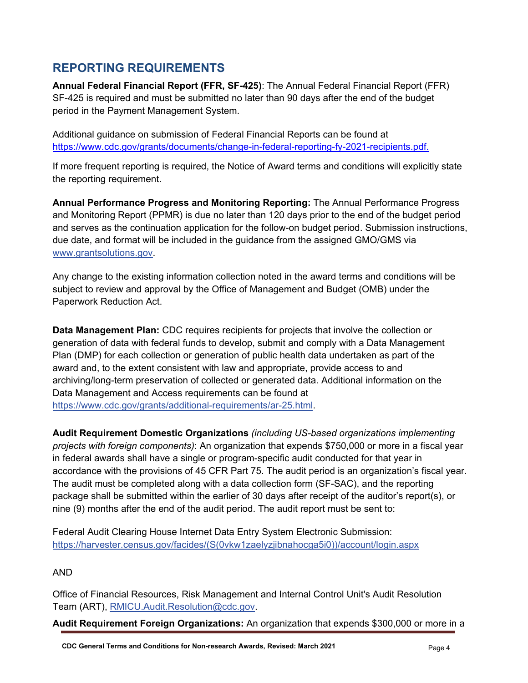### **REPORTING REQUIREMENTS**

**Annual Federal Financial Report (FFR, SF-425)**: The Annual Federal Financial Report (FFR) SF-425 is required and must be submitted no later than 90 days after the end of the budget period in the Payment Management System.

Additional guidance on submission of Federal Financial Reports can be found at https:/[/www.cdc.gov/grants/documents/change-in-federal-reporting-fy-2021-recipients.pdf.](http://www.cdc.gov/grants/documents/change-in-federal-reporting-fy-2021-recipients.pdf)

If more frequent reporting is required, the Notice of Award terms and conditions will explicitly state the reporting requirement.

**Annual Performance Progress and Monitoring Reporting:** The Annual Performance Progress and Monitoring Report (PPMR) is due no later than 120 days prior to the end of the budget period and serves as the continuation application for the follow-on budget period. Submission instructions, due date, and format will be included in the guidance from the assigned GMO/GMS via [www.grantsolutions.gov.](https://www.grantsolutions.gov/)

Any change to the existing information collection noted in the award terms and conditions will be subject to review and approval by the Office of Management and Budget (OMB) under the Paperwork Reduction Act.

**Data Management Plan:** CDC requires recipients for projects that involve the collection or generation of data with federal funds to develop, submit and comply with a Data Management Plan (DMP) for each collection or generation of public health data undertaken as part of the award and, to the extent consistent with law and appropriate, provide access to and archiving/long-term preservation of collected or generated data. Additional information on the Data Management and Access requirements can be found at [https://www.cdc.gov/grants/additional-requirements/ar-25.html.](https://www.cdc.gov/grants/additional-requirements/ar-25.html)

**Audit Requirement Domestic Organizations** *(including US-based organizations implementing projects with foreign components)*: An organization that expends \$750,000 or more in a fiscal year in federal awards shall have a single or program-specific audit conducted for that year in accordance with the provisions of 45 CFR Part 75. The audit period is an organization's fiscal year. The audit must be completed along with a data collection form (SF-SAC), and the reporting package shall be submitted within the earlier of 30 days after receipt of the auditor's report(s), or nine (9) months after the end of the audit period. The audit report must be sent to:

Federal Audit Clearing House Internet Data Entry System Electronic Submission: [https://harvester.census.gov/facides/\(S\(0vkw1zaelyzjibnahocga5i0\)\)/account/login.aspx](https://harvester.census.gov/facides/(S(0vkw1zaelyzjibnahocga5i0))/account/login.aspx)

#### AND

Office of Financial Resources, Risk Management and Internal Control Unit's Audit Resolution [Team \(ART\),](mailto:OGS.Audit.Resolution@cdc.gov) [RMICU.Audit.Resolution@cdc.gov.](mailto:RMICU.Audit.Resolution@cdc.gov)

**Audit Requirement Foreign Organizations:** An organization that expends \$300,000 or more in a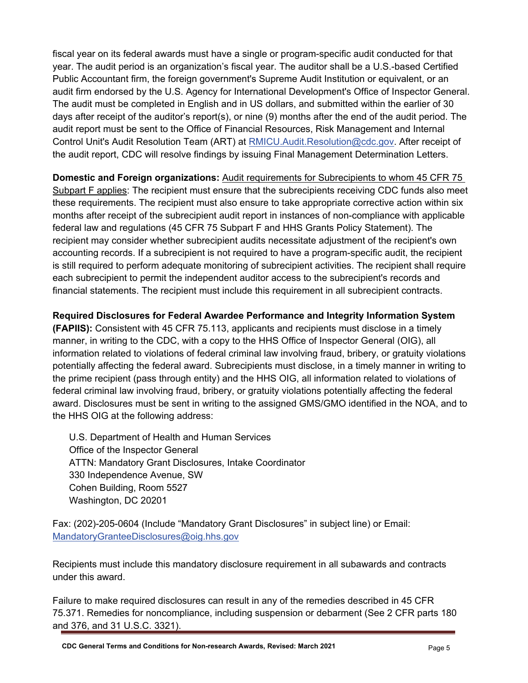fiscal year on its federal awards must have a single or program-specific audit conducted for that year. The audit period is an organization's fiscal year. The auditor shall be a U.S.-based Certified Public Accountant firm, the foreign government's Supreme Audit Institution or equivalent, or an audit firm endorsed by the U.S. Agency for International Development's Office of Inspector General. The audit must be completed in English and in US dollars, and submitted within the earlier of 30 days after receipt of the auditor's report(s), or nine (9) months after the end of the audit period. The audit report must be sent to the Office of Financial Resources, Risk Management and Internal Control Unit's Audit Resolution Team (ART) at [RMICU.Audit.Resolution@cdc.gov.](mailto:RMICU.Audit.Resolution@cdc.gov) After receipt of the audit report, CDC will resolve findings by issuing Final Management Determination Letters.

**Domestic and Foreign organizations:** Audit requirements for Subrecipients to whom 45 CFR 75 Subpart F applies: The recipient must ensure that the subrecipients receiving CDC funds also meet these requirements. The recipient must also ensure to take appropriate corrective action within six months after receipt of the subrecipient audit report in instances of non-compliance with applicable federal law and regulations (45 CFR 75 Subpart F and HHS Grants Policy Statement). The recipient may consider whether subrecipient audits necessitate adjustment of the recipient's own accounting records. If a subrecipient is not required to have a program-specific audit, the recipient is still required to perform adequate monitoring of subrecipient activities. The recipient shall require each subrecipient to permit the independent auditor access to the subrecipient's records and financial statements. The recipient must include this requirement in all subrecipient contracts.

**Required Disclosures for Federal Awardee Performance and Integrity Information System (FAPIIS):** Consistent with 45 CFR 75.113, applicants and recipients must disclose in a timely manner, in writing to the CDC, with a copy to the HHS Office of Inspector General (OIG), all information related to violations of federal criminal law involving fraud, bribery, or gratuity violations potentially affecting the federal award. Subrecipients must disclose, in a timely manner in writing to the prime recipient (pass through entity) and the HHS OIG, all information related to violations of federal criminal law involving fraud, bribery, or gratuity violations potentially affecting the federal award. Disclosures must be sent in writing to the assigned GMS/GMO identified in the NOA, and to the HHS OIG at the following address:

U.S. Department of Health and Human Services Office of the Inspector General ATTN: Mandatory Grant Disclosures, Intake Coordinator 330 Independence Avenue, SW Cohen Building, Room 5527 Washington, DC 20201

Fax: (202)-205-0604 (Include "Mandatory Grant Disclosures" in subject line) or Email: [MandatoryGranteeDisclosures@oig.hhs.gov](mailto:MandatoryGranteeDisclosures@oig.hhs.gov)

Recipients must include this mandatory disclosure requirement in all subawards and contracts under this award.

Failure to make required disclosures can result in any of the remedies described in 45 CFR 75.371. Remedies for noncompliance, including suspension or debarment (See 2 CFR parts 180 and 376, and 31 U.S.C. 3321).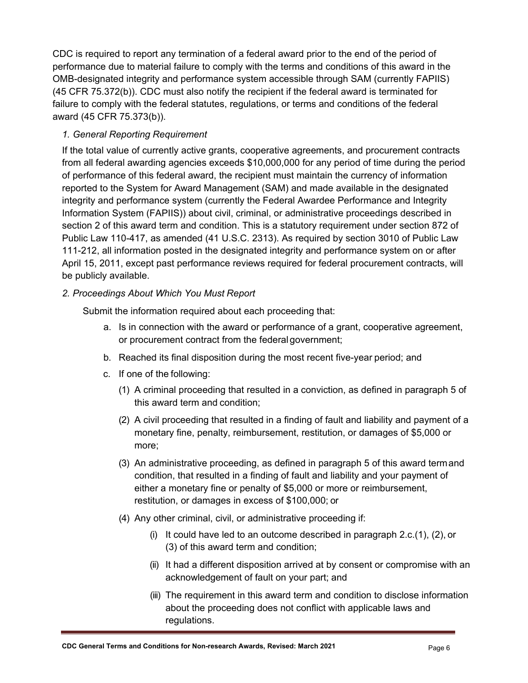CDC is required to report any termination of a federal award prior to the end of the period of performance due to material failure to comply with the terms and conditions of this award in the OMB-designated integrity and performance system accessible through SAM (currently FAPIIS) (45 CFR 75.372(b)). CDC must also notify the recipient if the federal award is terminated for failure to comply with the federal statutes, regulations, or terms and conditions of the federal award (45 CFR 75.373(b)).

#### *1. General Reporting Requirement*

If the total value of currently active grants, cooperative agreements, and procurement contracts from all federal awarding agencies exceeds \$10,000,000 for any period of time during the period of performance of this federal award, the recipient must maintain the currency of information reported to the System for Award Management (SAM) and made available in the designated integrity and performance system (currently the Federal Awardee Performance and Integrity Information System (FAPIIS)) about civil, criminal, or administrative proceedings described in section 2 of this award term and condition. This is a statutory requirement under section 872 of Public Law 110-417, as amended (41 U.S.C. 2313). As required by section 3010 of Public Law 111-212, all information posted in the designated integrity and performance system on or after April 15, 2011, except past performance reviews required for federal procurement contracts, will be publicly available.

#### *2. Proceedings About Which You Must Report*

Submit the information required about each proceeding that:

- a. Is in connection with the award or performance of a grant, cooperative agreement, or procurement contract from the federal government;
- b. Reached its final disposition during the most recent five-year period; and
- c. If one of the following:
	- (1) A criminal proceeding that resulted in a conviction, as defined in paragraph 5 of this award term and condition;
	- (2) A civil proceeding that resulted in a finding of fault and liability and payment of a monetary fine, penalty, reimbursement, restitution, or damages of \$5,000 or more;
	- (3) An administrative proceeding, as defined in paragraph 5 of this award termand condition, that resulted in a finding of fault and liability and your payment of either a monetary fine or penalty of \$5,000 or more or reimbursement, restitution, or damages in excess of \$100,000; or
	- (4) Any other criminal, civil, or administrative proceeding if:
		- (i) It could have led to an outcome described in paragraph  $2.c.(1)$ ,  $(2)$ , or (3) of this award term and condition;
		- (ii) It had a different disposition arrived at by consent or compromise with an acknowledgement of fault on your part; and
		- (iii) The requirement in this award term and condition to disclose information about the proceeding does not conflict with applicable laws and regulations.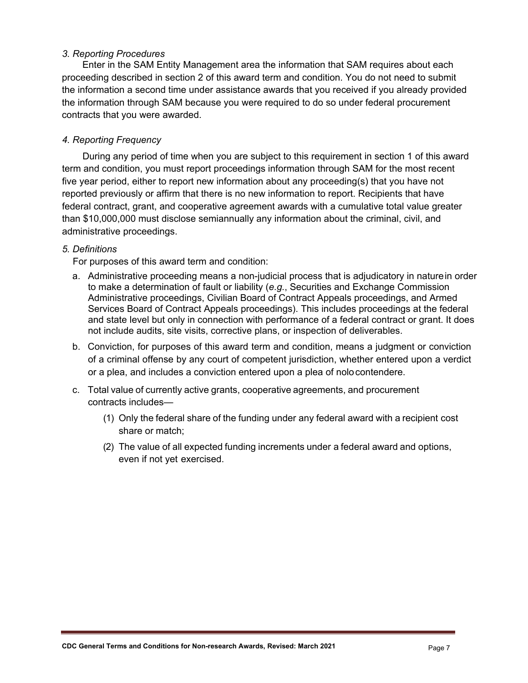#### *3. Reporting Procedures*

Enter in the SAM Entity Management area the information that SAM requires about each proceeding described in section 2 of this award term and condition. You do not need to submit the information a second time under assistance awards that you received if you already provided the information through SAM because you were required to do so under federal procurement contracts that you were awarded.

#### *4. Reporting Frequency*

During any period of time when you are subject to this requirement in section 1 of this award term and condition, you must report proceedings information through SAM for the most recent five year period, either to report new information about any proceeding(s) that you have not reported previously or affirm that there is no new information to report. Recipients that have federal contract, grant, and cooperative agreement awards with a cumulative total value greater than \$10,000,000 must disclose semiannually any information about the criminal, civil, and administrative proceedings.

#### *5. Definitions*

For purposes of this award term and condition:

- a. Administrative proceeding means a non-judicial process that is adjudicatory in naturein order to make a determination of fault or liability (*e.g.*, Securities and Exchange Commission Administrative proceedings, Civilian Board of Contract Appeals proceedings, and Armed Services Board of Contract Appeals proceedings). This includes proceedings at the federal and state level but only in connection with performance of a federal contract or grant. It does not include audits, site visits, corrective plans, or inspection of deliverables.
- b. Conviction, for purposes of this award term and condition, means a judgment or conviction of a criminal offense by any court of competent jurisdiction, whether entered upon a verdict or a plea, and includes a conviction entered upon a plea of nolocontendere.
- c. Total value of currently active grants, cooperative agreements, and procurement contracts includes—
	- (1) Only the federal share of the funding under any federal award with a recipient cost share or match;
	- (2) The value of all expected funding increments under a federal award and options, even if not yet exercised.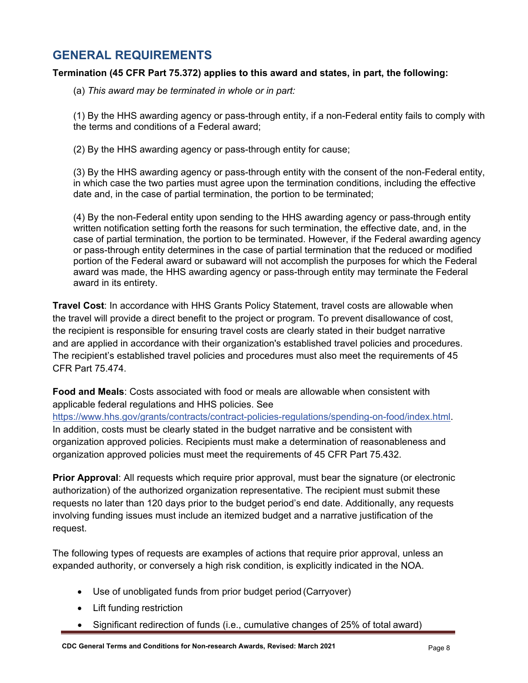### **GENERAL REQUIREMENTS**

#### **Termination (45 CFR Part 75.372) applies to this award and states, in part, the following:**

(a) *This award may be terminated in whole or in part:*

(1) By the HHS awarding agency or pass-through entity, if a non-Federal entity fails to comply with the terms and conditions of a Federal award;

(2) By the HHS awarding agency or pass-through entity for cause;

(3) By the HHS awarding agency or pass-through entity with the consent of the non-Federal entity, in which case the two parties must agree upon the termination conditions, including the effective date and, in the case of partial termination, the portion to be terminated;

(4) By the non-Federal entity upon sending to the HHS awarding agency or pass-through entity written notification setting forth the reasons for such termination, the effective date, and, in the case of partial termination, the portion to be terminated. However, if the Federal awarding agency or pass-through entity determines in the case of partial termination that the reduced or modified portion of the Federal award or subaward will not accomplish the purposes for which the Federal award was made, the HHS awarding agency or pass-through entity may terminate the Federal award in its entirety.

**Travel Cost**: In accordance with HHS Grants Policy Statement, travel costs are allowable when the travel will provide a direct benefit to the project or program. To prevent disallowance of cost, the recipient is responsible for ensuring travel costs are clearly stated in their budget narrative and are applied in accordance with their organization's established travel policies and procedures. The recipient's established travel policies and procedures must also meet the requirements of 45 CFR Part 75.474.

**Food and Meals**: Costs associated with food or meals are allowable when consistent with applicable federal regulations and HHS policies. See

[https://www.hhs.gov/grants/contracts/contract-policies-regulations/spending-on-food/index.html.](https://www.hhs.gov/grants/contracts/contract-policies-regulations/spending-on-food/index.html) In addition, costs must be clearly stated in the budget narrative and be consistent with organization approved policies. Recipients must make a determination of reasonableness and organization approved policies must meet the requirements of 45 CFR Part 75.432.

**Prior Approval**: All requests which require prior approval, must bear the signature (or electronic authorization) of the authorized organization representative. The recipient must submit these requests no later than 120 days prior to the budget period's end date. Additionally, any requests involving funding issues must include an itemized budget and a narrative justification of the request.

The following types of requests are examples of actions that require prior approval, unless an expanded authority, or conversely a high risk condition, is explicitly indicated in the NOA.

- Use of unobligated funds from prior budget period (Carryover)
- Lift funding restriction
- Significant redirection of funds (i.e., cumulative changes of 25% of total award)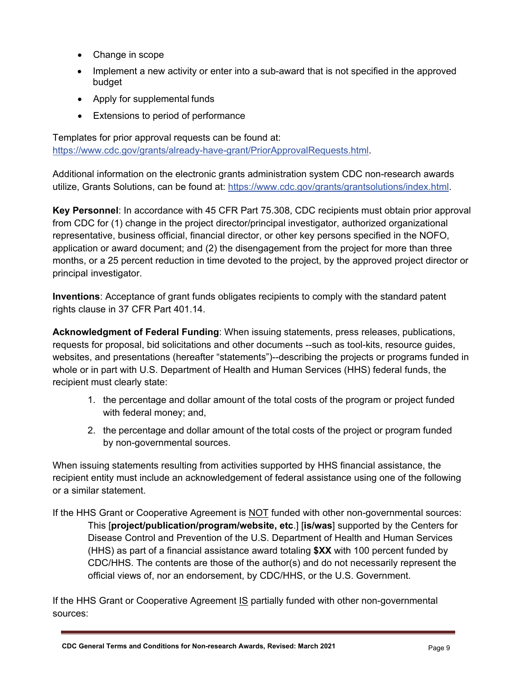- Change in scope
- Implement a new activity or enter into a sub-award that is not specified in the approved budget
- Apply for supplemental funds
- Extensions to period of performance

Templates for prior approval requests can be found at: [https://www.cdc.gov/grants/already-have-grant/PriorApprovalRequests.html.](https://www.cdc.gov/grants/already-have-grant/PriorApprovalRequests.html)

Additional information on the electronic grants administration system CDC non-research awards utilize, Grants Solutions, can be found at: [https://www.cdc.gov/grants/grantsolutions/index.html.](https://www.cdc.gov/grants/grantsolutions/index.html)

**Key Personnel**: In accordance with 45 CFR Part 75.308, CDC recipients must obtain prior approval from CDC for (1) change in the project director/principal investigator, authorized organizational representative, business official, financial director, or other key persons specified in the NOFO, application or award document; and (2) the disengagement from the project for more than three months, or a 25 percent reduction in time devoted to the project, by the approved project director or principal investigator.

**Inventions**: Acceptance of grant funds obligates recipients to comply with the standard patent rights clause in 37 CFR Part 401.14.

**Acknowledgment of Federal Funding**: When issuing statements, press releases, publications, requests for proposal, bid solicitations and other documents --such as tool-kits, resource guides, websites, and presentations (hereafter "statements")--describing the projects or programs funded in whole or in part with U.S. Department of Health and Human Services (HHS) federal funds, the recipient must clearly state:

- 1. the percentage and dollar amount of the total costs of the program or project funded with federal money; and,
- 2. the percentage and dollar amount of the total costs of the project or program funded by non-governmental sources.

When issuing statements resulting from activities supported by HHS financial assistance, the recipient entity must include an acknowledgement of federal assistance using one of the following or a similar statement.

If the HHS Grant or Cooperative Agreement is NOT funded with other non-governmental sources: This [**project/publication/program/website, etc**.] [**is/was**] supported by the Centers for Disease Control and Prevention of the U.S. Department of Health and Human Services (HHS) as part of a financial assistance award totaling **\$XX** with 100 percent funded by CDC/HHS. The contents are those of the author(s) and do not necessarily represent the official views of, nor an endorsement, by CDC/HHS, or the U.S. Government.

If the HHS Grant or Cooperative Agreement IS partially funded with other non-governmental sources: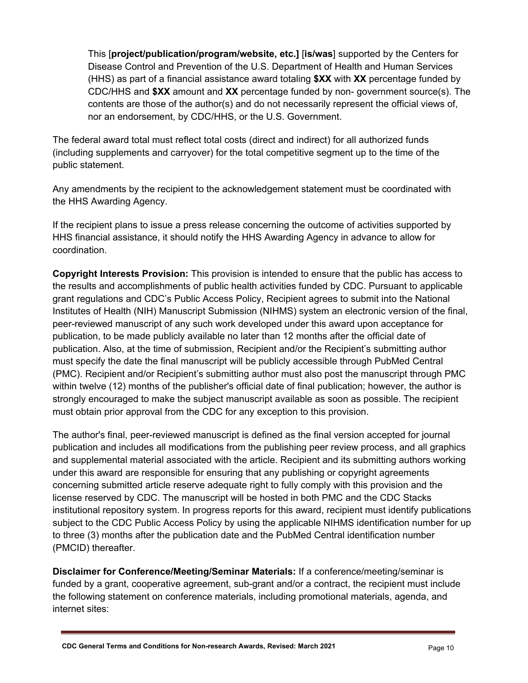This [**project/publication/program/website, etc.]** [**is/was**] supported by the Centers for Disease Control and Prevention of the U.S. Department of Health and Human Services (HHS) as part of a financial assistance award totaling **\$XX** with **XX** percentage funded by CDC/HHS and **\$XX** amount and **XX** percentage funded by non- government source(s). The contents are those of the author(s) and do not necessarily represent the official views of, nor an endorsement, by CDC/HHS, or the U.S. Government.

The federal award total must reflect total costs (direct and indirect) for all authorized funds (including supplements and carryover) for the total competitive segment up to the time of the public statement.

Any amendments by the recipient to the acknowledgement statement must be coordinated with the HHS Awarding Agency.

If the recipient plans to issue a press release concerning the outcome of activities supported by HHS financial assistance, it should notify the HHS Awarding Agency in advance to allow for coordination.

**Copyright Interests Provision:** This provision is intended to ensure that the public has access to the results and accomplishments of public health activities funded by CDC. Pursuant to applicable grant regulations and CDC's Public Access Policy, Recipient agrees to submit into the National Institutes of Health (NIH) Manuscript Submission (NIHMS) system an electronic version of the final, peer-reviewed manuscript of any such work developed under this award upon acceptance for publication, to be made publicly available no later than 12 months after the official date of publication. Also, at the time of submission, Recipient and/or the Recipient's submitting author must specify the date the final manuscript will be publicly accessible through PubMed Central (PMC). Recipient and/or Recipient's submitting author must also post the manuscript through PMC within twelve (12) months of the publisher's official date of final publication; however, the author is strongly encouraged to make the subject manuscript available as soon as possible. The recipient must obtain prior approval from the CDC for any exception to this provision.

The author's final, peer-reviewed manuscript is defined as the final version accepted for journal publication and includes all modifications from the publishing peer review process, and all graphics and supplemental material associated with the article. Recipient and its submitting authors working under this award are responsible for ensuring that any publishing or copyright agreements concerning submitted article reserve adequate right to fully comply with this provision and the license reserved by CDC. The manuscript will be hosted in both PMC and the CDC Stacks institutional repository system. In progress reports for this award, recipient must identify publications subject to the CDC Public Access Policy by using the applicable NIHMS identification number for up to three (3) months after the publication date and the PubMed Central identification number (PMCID) thereafter.

**Disclaimer for Conference/Meeting/Seminar Materials:** If a conference/meeting/seminar is funded by a grant, cooperative agreement, sub-grant and/or a contract, the recipient must include the following statement on conference materials, including promotional materials, agenda, and internet sites: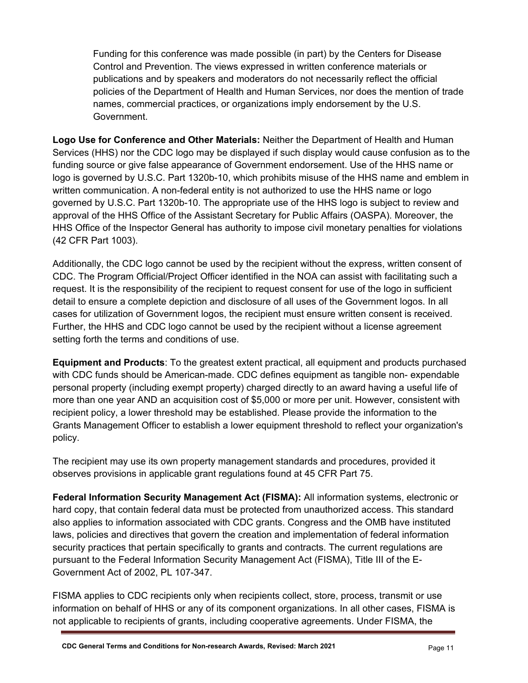Funding for this conference was made possible (in part) by the Centers for Disease Control and Prevention. The views expressed in written conference materials or publications and by speakers and moderators do not necessarily reflect the official policies of the Department of Health and Human Services, nor does the mention of trade names, commercial practices, or organizations imply endorsement by the U.S. Government.

**Logo Use for Conference and Other Materials:** Neither the Department of Health and Human Services (HHS) nor the CDC logo may be displayed if such display would cause confusion as to the funding source or give false appearance of Government endorsement. Use of the HHS name or logo is governed by U.S.C. Part 1320b-10, which prohibits misuse of the HHS name and emblem in written communication. A non-federal entity is not authorized to use the HHS name or logo governed by U.S.C. Part 1320b-10. The appropriate use of the HHS logo is subject to review and approval of the HHS Office of the Assistant Secretary for Public Affairs (OASPA). Moreover, the HHS Office of the Inspector General has authority to impose civil monetary penalties for violations (42 CFR Part 1003).

Additionally, the CDC logo cannot be used by the recipient without the express, written consent of CDC. The Program Official/Project Officer identified in the NOA can assist with facilitating such a request. It is the responsibility of the recipient to request consent for use of the logo in sufficient detail to ensure a complete depiction and disclosure of all uses of the Government logos. In all cases for utilization of Government logos, the recipient must ensure written consent is received. Further, the HHS and CDC logo cannot be used by the recipient without a license agreement setting forth the terms and conditions of use.

**Equipment and Products**: To the greatest extent practical, all equipment and products purchased with CDC funds should be American-made. CDC defines equipment as tangible non- expendable personal property (including exempt property) charged directly to an award having a useful life of more than one year AND an acquisition cost of \$5,000 or more per unit. However, consistent with recipient policy, a lower threshold may be established. Please provide the information to the Grants Management Officer to establish a lower equipment threshold to reflect your organization's policy.

The recipient may use its own property management standards and procedures, provided it observes provisions in applicable grant regulations found at 45 CFR Part 75.

**Federal Information Security Management Act (FISMA):** All information systems, electronic or hard copy, that contain federal data must be protected from unauthorized access. This standard also applies to information associated with CDC grants. Congress and the OMB have instituted laws, policies and directives that govern the creation and implementation of federal information security practices that pertain specifically to grants and contracts. The current regulations are pursuant to the Federal Information Security Management Act (FISMA), Title III of the E-Government Act of 2002, PL 107-347.

FISMA applies to CDC recipients only when recipients collect, store, process, transmit or use information on behalf of HHS or any of its component organizations. In all other cases, FISMA is not applicable to recipients of grants, including cooperative agreements. Under FISMA, the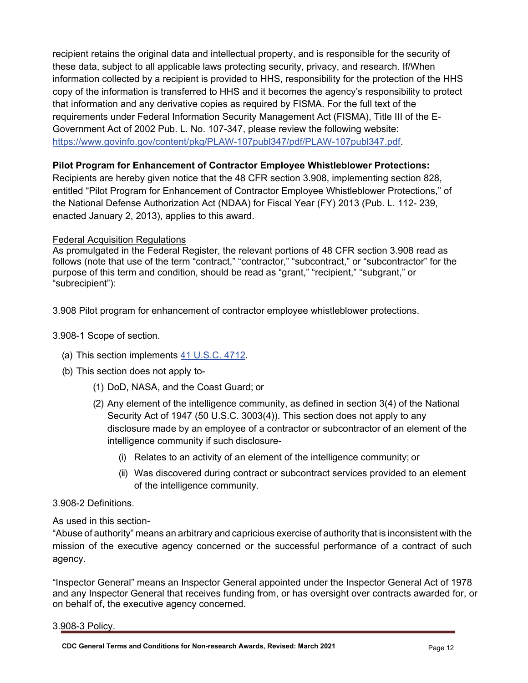recipient retains the original data and intellectual property, and is responsible for the security of these data, subject to all applicable laws protecting security, privacy, and research. If/When information collected by a recipient is provided to HHS, responsibility for the protection of the HHS copy of the information is transferred to HHS and it becomes the agency's responsibility to protect that information and any derivative copies as required by FISMA. For the full text of the requirements under Federal Information Security Management Act (FISMA), Title III of the E-Government Act of 2002 Pub. L. No. 107-347, please review the following website: [https://www.govinfo.gov/content/pkg/PLAW-107publ347/pdf/PLAW-107publ347.pdf.](https://www.govinfo.gov/content/pkg/PLAW-107publ347/pdf/PLAW-107publ347.pdf)

#### **Pilot Program for Enhancement of Contractor Employee Whistleblower Protections:**

Recipients are hereby given notice that the 48 CFR section 3.908, implementing section 828, entitled "Pilot Program for Enhancement of Contractor Employee Whistleblower Protections," of the National Defense Authorization Act (NDAA) for Fiscal Year (FY) 2013 (Pub. L. 112- 239, enacted January 2, 2013), applies to this award.

#### Federal Acquisition Regulations

As promulgated in the Federal Register, the relevant portions of 48 CFR section 3.908 read as follows (note that use of the term "contract," "contractor," "subcontract," or "subcontractor" for the purpose of this term and condition, should be read as "grant," "recipient," "subgrant," or "subrecipient"):

3.908 Pilot program for enhancement of contractor employee whistleblower protections.

- 3.908-1 Scope of section.
	- (a) This section implements [41 U.S.C.](https://uscode.house.gov/) 4712.
	- (b) This section does not apply to-
		- (1) DoD, NASA, and the Coast Guard; or
		- (2) Any element of the intelligence community, as defined in section 3(4) of the National Security Act of 1947 (50 U.S.C. 3003(4)). This section does not apply to any disclosure made by an employee of a contractor or subcontractor of an element of the intelligence community if such disclosure-
			- (i) Relates to an activity of an element of the intelligence community; or
			- (ii) Was discovered during contract or subcontract services provided to an element of the intelligence community.

#### 3.908-2 Definitions.

As used in this section-

"Abuse of authority" means an arbitrary and capricious exercise of authority that is inconsistent with the mission of the executive agency concerned or the successful performance of a contract of such agency.

"Inspector General" means an Inspector General appointed under the Inspector General Act of 1978 and any Inspector General that receives funding from, or has oversight over contracts awarded for, or on behalf of, the executive agency concerned.

3.908-3 Policy.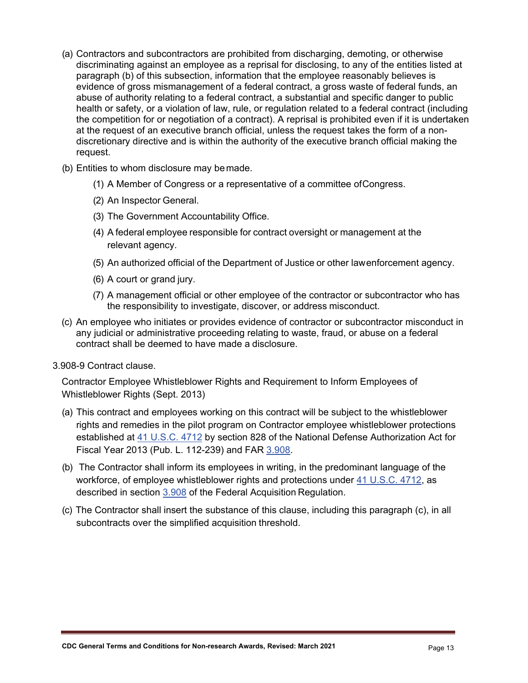- (a) Contractors and subcontractors are prohibited from discharging, demoting, or otherwise discriminating against an employee as a reprisal for disclosing, to any of the entities listed at paragraph (b) of this subsection, information that the employee reasonably believes is evidence of gross mismanagement of a federal contract, a gross waste of federal funds, an abuse of authority relating to a federal contract, a substantial and specific danger to public health or safety, or a violation of law, rule, or regulation related to a federal contract (including the competition for or negotiation of a contract). A reprisal is prohibited even if it is undertaken at the request of an executive branch official, unless the request takes the form of a nondiscretionary directive and is within the authority of the executive branch official making the request.
- (b) Entities to whom disclosure may bemade.
	- (1) A Member of Congress or a representative of a committee ofCongress.
	- (2) An Inspector General.
	- (3) The Government Accountability Office.
	- (4) A federal employee responsible for contract oversight or management at the relevant agency.
	- (5) An authorized official of the Department of Justice or other lawenforcement agency.
	- (6) A court or grand jury.
	- (7) A management official or other employee of the contractor or subcontractor who has the responsibility to investigate, discover, or address misconduct.
- (c) An employee who initiates or provides evidence of contractor or subcontractor misconduct in any judicial or administrative proceeding relating to waste, fraud, or abuse on a federal contract shall be deemed to have made a disclosure.
- 3.908-9 Contract clause.

Contractor Employee Whistleblower Rights and Requirement to Inform Employees of Whistleblower Rights (Sept. 2013)

- (a) This contract and employees working on this contract will be subject to the whistleblower rights and remedies in the pilot program on Contractor employee whistleblower protections established at [41 U.S.C. 4712](https://uscode.house.gov/) by section 828 of the National Defense Authorization Act for Fiscal Year 2013 (Pub. L. 112-239) and FAR [3.908.](https://www.acquisition.gov/sites/default/files/current/far/html/Subpart%203_9.html)
- (b) The Contractor shall inform its employees in writing, in the predominant language of the workforce, of employee whistleblower rights and protections under [41 U.S.C. 4712,](https://uscode.house.gov/) as described in section [3.908](https://www.acquisition.gov/sites/default/files/current/far/html/Subpart%203_9.html) of the Federal Acquisition Regulation.
- (c) The Contractor shall insert the substance of this clause, including this paragraph (c), in all subcontracts over the simplified acquisition threshold.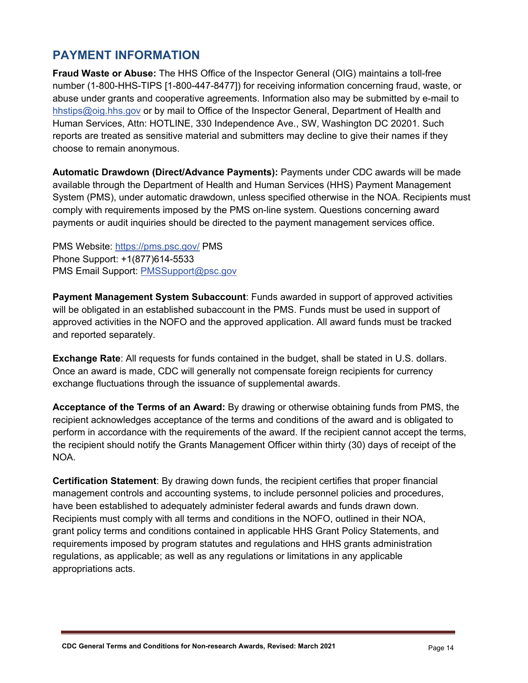### **PAYMENT INFORMATION**

**Fraud Waste or Abuse:** The HHS Office of the Inspector General (OIG) maintains a toll-free number (1-800-HHS-TIPS [1-800-447-8477]) for receiving information concerning fraud, waste, or abuse under grants and cooperative agreements. Information also may be submitted by e-mail to [hhstips@oig.hhs.gov](mailto:hhstips@oig.hhs.gov) or by mail to Office of the Inspector General, Department of Health and Human Services, Attn: HOTLINE, 330 Independence Ave., SW, Washington DC 20201. Such reports are treated as sensitive material and submitters may decline to give their names if they choose to remain anonymous.

**Automatic Drawdown (Direct/Advance Payments):** Payments under CDC awards will be made available through the Department of Health and Human Services (HHS) Payment Management System (PMS), under automatic drawdown, unless specified otherwise in the NOA. Recipients must comply with requirements imposed by the PMS on-line system. Questions concerning award payments or audit inquiries should be directed to the payment management services office.

PMS Website:<https://pms.psc.gov/> PMS Phone Support: +1(877)614-5533 PMS Email Support: [PMSSupport@psc.gov](mailto:PMSSupport@psc.gov)

**Payment Management System Subaccount**: Funds awarded in support of approved activities will be obligated in an established subaccount in the PMS. Funds must be used in support of approved activities in the NOFO and the approved application. All award funds must be tracked and reported separately.

**Exchange Rate**: All requests for funds contained in the budget, shall be stated in U.S. dollars. Once an award is made, CDC will generally not compensate foreign recipients for currency exchange fluctuations through the issuance of supplemental awards.

**Acceptance of the Terms of an Award:** By drawing or otherwise obtaining funds from PMS, the recipient acknowledges acceptance of the terms and conditions of the award and is obligated to perform in accordance with the requirements of the award. If the recipient cannot accept the terms, the recipient should notify the Grants Management Officer within thirty (30) days of receipt of the NOA.

**Certification Statement**: By drawing down funds, the recipient certifies that proper financial management controls and accounting systems, to include personnel policies and procedures, have been established to adequately administer federal awards and funds drawn down. Recipients must comply with all terms and conditions in the NOFO, outlined in their NOA, grant policy terms and conditions contained in applicable HHS Grant Policy Statements, and requirements imposed by program statutes and regulations and HHS grants administration regulations, as applicable; as well as any regulations or limitations in any applicable appropriations acts.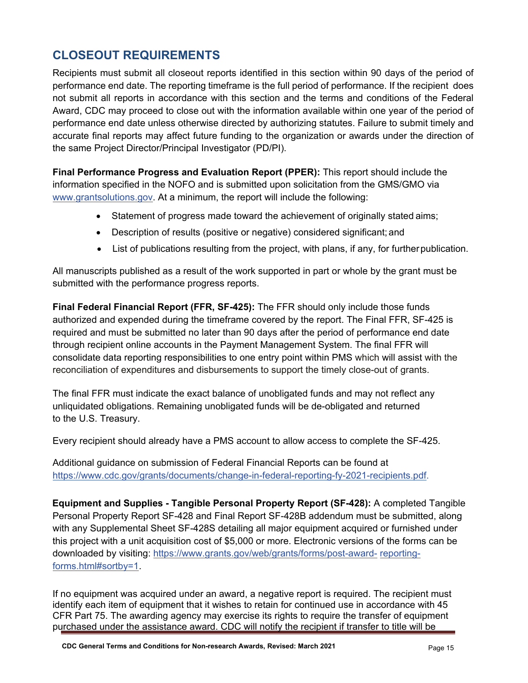## **CLOSEOUT REQUIREMENTS**

Recipients must submit all closeout reports identified in this section within 90 days of the period of performance end date. The reporting timeframe is the full period of performance. If the recipient does not submit all reports in accordance with this section and the terms and conditions of the Federal Award, CDC may proceed to close out with the information available within one year of the period of performance end date unless otherwise directed by authorizing statutes. Failure to submit timely and accurate final reports may affect future funding to the organization or awards under the direction of the same Project Director/Principal Investigator (PD/PI).

**Final Performance Progress and Evaluation Report (PPER):** This report should include the information specified in the NOFO and is submitted upon solicitation from the GMS/GMO via [www.grantsolutions.gov. A](http://www.grantsolutions.gov/)t a minimum, the report will include the following:

- Statement of progress made toward the achievement of originally stated aims;
- Description of results (positive or negative) considered significant; and
- List of publications resulting from the project, with plans, if any, for furtherpublication.

All manuscripts published as a result of the work supported in part or whole by the grant must be submitted with the performance progress reports.

**Final Federal Financial Report (FFR, SF-425):** The FFR should only include those funds authorized and expended during the timeframe covered by the report. The Final FFR, SF-425 is required and must be submitted no later than 90 days after the period of performance end date through recipient online accounts in the Payment Management System. The final FFR will consolidate data reporting responsibilities to one entry point within PMS which will assist with the reconciliation of expenditures and disbursements to support the timely close-out of grants.

The final FFR must indicate the exact balance of unobligated funds and may not reflect any unliquidated obligations. Remaining unobligated funds will be de-obligated and returned to the U.S. Treasury.

Every recipient should already have a PMS account to allow access to complete the SF-425.

Additional guidance on submission of Federal Financial Reports can be found at [https://www.cdc.gov/grants/documents/change-in-federal-reporting-fy-2021-recipients.pdf.](https://www.cdc.gov/grants/documents/change-in-federal-reporting-fy-2021-recipients.pdf)

**Equipment and Supplies - Tangible Personal Property Report (SF-428):** A completed Tangible Personal Property Report SF-428 and Final Report SF-428B addendum must be submitted, along with any Supplemental Sheet SF-428S detailing all major equipment acquired or furnished under this project with a unit acquisition cost of \$5,000 or more. Electronic versions of the forms can be downloaded by visiting: [https://www.grants.gov/web/grants/forms/post-award-](https://www.grants.gov/web/grants/forms/post-award-reporting-forms.html#sortby%3D1) [reporting](https://www.grants.gov/web/grants/forms/post-award-reporting-forms.html#sortby%3D1)[forms.html#sortby=1.](https://www.grants.gov/web/grants/forms/post-award-reporting-forms.html#sortby%3D1)

If no equipment was acquired under an award, a negative report is required. The recipient must identify each item of equipment that it wishes to retain for continued use in accordance with 45 CFR Part 75. The awarding agency may exercise its rights to require the transfer of equipment purchased under the assistance award. CDC will notify the recipient if transfer to title will be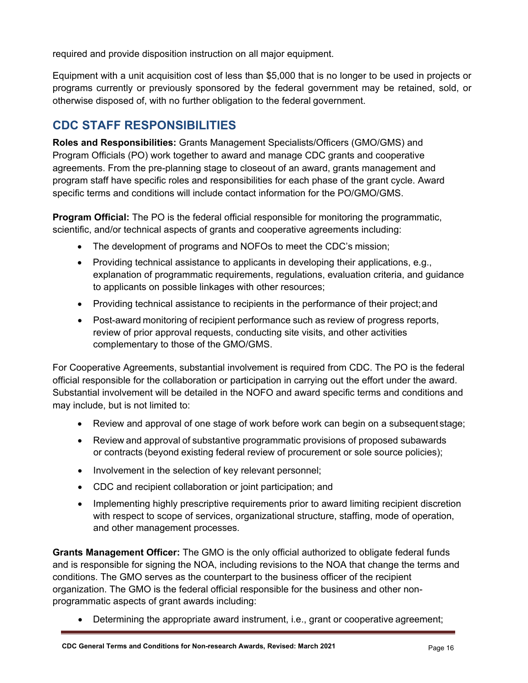required and provide disposition instruction on all major equipment.

Equipment with a unit acquisition cost of less than \$5,000 that is no longer to be used in projects or programs currently or previously sponsored by the federal government may be retained, sold, or otherwise disposed of, with no further obligation to the federal government.

### **CDC STAFF RESPONSIBILITIES**

**Roles and Responsibilities:** Grants Management Specialists/Officers (GMO/GMS) and Program Officials (PO) work together to award and manage CDC grants and cooperative agreements. From the pre-planning stage to closeout of an award, grants management and program staff have specific roles and responsibilities for each phase of the grant cycle. Award specific terms and conditions will include contact information for the PO/GMO/GMS.

**Program Official:** The PO is the federal official responsible for monitoring the programmatic, scientific, and/or technical aspects of grants and cooperative agreements including:

- The development of programs and NOFOs to meet the CDC's mission;
- Providing technical assistance to applicants in developing their applications, e.g., explanation of programmatic requirements, regulations, evaluation criteria, and guidance to applicants on possible linkages with other resources;
- Providing technical assistance to recipients in the performance of their project; and
- Post-award monitoring of recipient performance such as review of progress reports, review of prior approval requests, conducting site visits, and other activities complementary to those of the GMO/GMS.

For Cooperative Agreements, substantial involvement is required from CDC. The PO is the federal official responsible for the collaboration or participation in carrying out the effort under the award. Substantial involvement will be detailed in the NOFO and award specific terms and conditions and may include, but is not limited to:

- Review and approval of one stage of work before work can begin on a subsequent stage;
- Review and approval of substantive programmatic provisions of proposed subawards or contracts (beyond existing federal review of procurement or sole source policies);
- Involvement in the selection of key relevant personnel;
- CDC and recipient collaboration or joint participation; and
- Implementing highly prescriptive requirements prior to award limiting recipient discretion with respect to scope of services, organizational structure, staffing, mode of operation, and other management processes.

**Grants Management Officer:** The GMO is the only official authorized to obligate federal funds and is responsible for signing the NOA, including revisions to the NOA that change the terms and conditions. The GMO serves as the counterpart to the business officer of the recipient organization. The GMO is the federal official responsible for the business and other nonprogrammatic aspects of grant awards including:

• Determining the appropriate award instrument, i.e., grant or cooperative agreement;